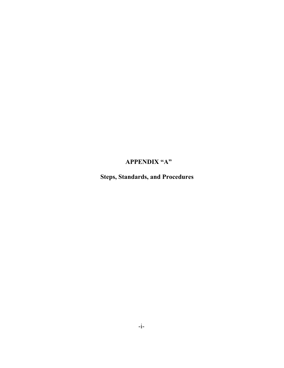## **APPENDIX "A"**

 **Steps, Standards, and Procedures**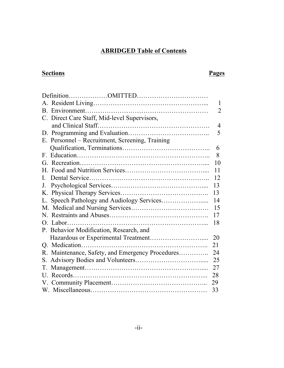### **ABRIDGED Table of Contents**

# **Sections Pages**

|                                                  | $\mathbf{1}$   |
|--------------------------------------------------|----------------|
|                                                  | $\overline{2}$ |
| C. Direct Care Staff, Mid-level Supervisors,     |                |
|                                                  | $\overline{4}$ |
|                                                  | 5              |
| E. Personnel - Recruitment, Screening, Training  |                |
|                                                  | 6              |
| $\mathbf{F}$                                     | 8              |
|                                                  | 10             |
|                                                  | 11             |
| $\mathbf{L}$                                     | 12             |
| $J_{-}$                                          | 13             |
|                                                  | 13             |
| L.                                               | 14             |
|                                                  | 15             |
|                                                  | 17             |
|                                                  | 18             |
| P. Behavior Modification, Research, and          |                |
|                                                  | 20             |
|                                                  | 21             |
| R. Maintenance, Safety, and Emergency Procedures | 24             |
| S.                                               | 25             |
|                                                  | 27             |
|                                                  | 28             |
|                                                  | 29             |
|                                                  | 33             |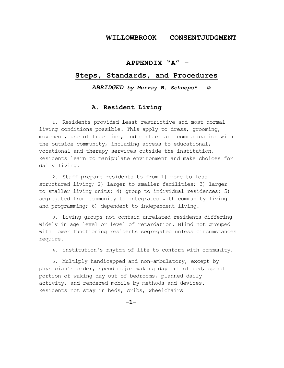#### **WILLOWBROOK CONSENTJUDGMENT**

#### **APPENDIX "A" –**

#### **Steps, Standards, and Procedures**

#### *ABRIDGED by Murray B. Schneps\** **©**

#### **A. Resident Living**

1. Residents provided least restrictive and most normal living conditions possible. This apply to dress, grooming, movement, use of free time, and contact and communication with the outside community, including access to educational, vocational and therapy services outside the institution. Residents learn to manipulate environment and make choices for daily living.

2. Staff prepare residents to from 1) more to less structured living; 2) larger to smaller facilities; 3) larger to smaller living units; 4) group to individual residences; 5) segregated from community to integrated with community living and programming; 6) dependent to independent living.

3. Living groups not contain unrelated residents differing widely in age level or level of retardation. Blind not grouped with lower functioning residents segregated unless circumstances require.

4. institution's rhythm of life to conform with community.

5. Multiply handicapped and non-ambulatory, except by physician's order, spend major waking day out of bed, spend portion of waking day out of bedrooms, planned daily activity, and rendered mobile by methods and devices. Residents not stay in beds, cribs, wheelchairs

**-1-**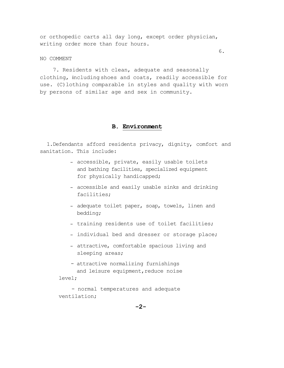or orthopedic carts all day long, except order physician, writing order more than four hours.

NO COMMENT

 7. Residents with clean, adequate and seasonally clothing, including shoes and coats, readily accessible for use*.* (C)lothing comparable in styles and quality with worn by persons of similar age and sex in community.

#### **B. Environment**

 1.Defendants afford residents privacy, dignity, comfort and sanitation. This include:

- − accessible, private, easily usable toilets and bathing facilities, specialized equipment for physically handicapped;
- − accessible and easily usable sinks and drinking facilities;
- − adequate toilet paper, soap, towels, linen and bedding;
- − training residents use of toilet facilities;
- − individual bed and dresser or storage place;
- − attractive, comfortable spacious living and sleeping areas;
- attractive normalizing furnishings and leisure equipment, reduce noise level;

 - normal temperatures and adequate ventilation;

6.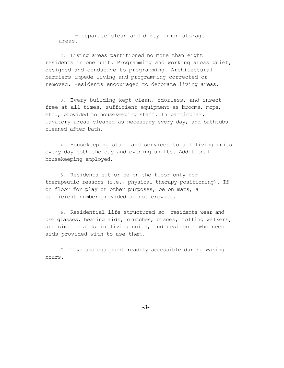- separate clean and dirty linen storage areas.

2. Living areas partitioned no more than eight residents in one unit. Programming and working areas quiet, designed and conducive to programming. Architectural barriers impede living and programming corrected or removed. Residents encouraged to decorate living areas.

3. Every building kept clean, odorless, and insectfree at all times, sufficient equipment as brooms, mops, etc., provided to housekeeping staff. In particular, lavatory areas cleaned as necessary every day, and bathtubs cleaned after bath.

4. Housekeeping staff and services to all living units every day both the day and evening shifts. Additional housekeeping employed.

5. Residents sit or be on the floor only for therapeutic reasons (i.e., physical therapy positioning). If on floor for play or other purposes, be on mats, a sufficient number provided so not crowded.

6. Residential life structured so residents wear and use glasses, hearing aids, crutches, braces, rolling walkers, and similar aids in living units, and residents who need aids provided with to use them.

7. Toys and equipment readily accessible during waking hours.

**-3-**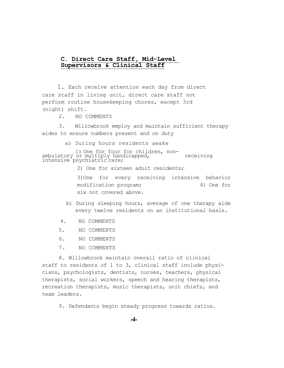# **C. Direct Care Staff, Mid-Level Supervisors & Clinical Staff**

 1. Each receive attention each day from direct care staff in living unit, direct care staff not perform routine housekeeping chores, except 3rd (night) shift.

2. NO COMMENTS

 3. Willowbrook employ and maintain sufficient therapy aides to ensure numbers present and on duty

 a) During hours residents awake

1) One for four for children, non-<br>ambulatory or multiply handicapped, receiving<br>intensive psychiatric care;

2) One for sixteen adult residents;

3)One for every receiving intensive behavior modification program; 4) One for six not covered above.

- b) During sleeping hours, average of one therapy aide every twelve residents on an institutional basis.
- 4. NO COMMENTS
- 5. NO COMMENTS
- 6. NO COMMENTS
- 7. NO COMMENTS

 8. Willowbrook maintain overall ratio of clinical staff to residents of 1 to 3, clinical staff include physicians, psychologists, dentists, nurses, teachers, physical therapists, social workers, speech and hearing therapists, recreation therapists, music therapists, unit chiefs, and team leaders.

9. Defendants begin steady progress towards ratios.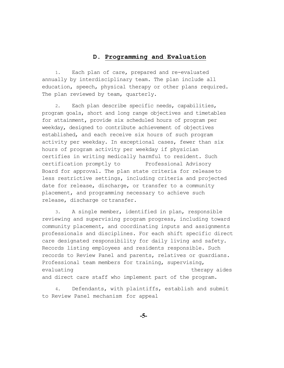#### **D. Programming and Evaluation**

1. Each plan of care, prepared and re-evaluated annually by interdisciplinary team. The plan include all education, speech, physical therapy or other plans required. The plan reviewed by team, quarterly.

2. Each plan describe specific needs, capabilities, program goals, short and long range objectives and timetables for attainment, provide six scheduled hours of program per weekday, designed to contribute achievement of objectives established, and each receive six hours of such program activity per weekday. In exceptional cases, fewer than six hours of program activity per weekday if physician certifies in writing medically harmful to resident. Such certification promptly to Professional Advisory Board for approval. The plan state criteria for releaseto less restrictive settings, including criteria and projected date for release, discharge, or transfer to a community placement, and programming necessary to achieve such release, discharge ortransfer.

3. A single member, identified in plan, responsible reviewing and supervising program progress, including toward community placement, and coordinating inputs and assignments professionals and disciplines. For each shift specific direct care designated responsibility for daily living and safety. Records listing employees and residents responsible. Such records to Review Panel and parents, relatives or guardians. Professional team members for training, supervising, evaluating therapy aides and direct care staff who implement part of the program.

4. Defendants, with plaintiffs, establish and submit to Review Panel mechanism for appeal

**-5-**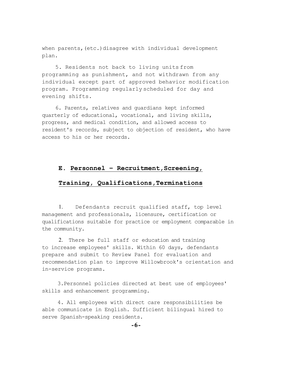when parents, (etc.)disagree with individual development plan.

5. Residents not back to living units from programming as punishment, and not withdrawn from any individual except part of approved behavior modification program. Programming regularly scheduled for day and evening shifts.

6. Parents, relatives and guardians kept informed quarterly of educational, vocational, and living skills, progress, and medical condition, and allowed access to resident's records, subject to objection of resident, who have access to his or her records.

#### **E. Personnel – Recruitment,Screening,**

#### **Training, Qualifications,Terminations**

1. Defendants recruit qualified staff, top level management and professionals, licensure, certification or qualifications suitable for practice or employment comparable in the community.

2. There be full staff or education and training to increase employees' skills. Within 60 days, defendants prepare and submit to Review Panel for evaluation and recommendation plan to improve Willowbrook's orientation and in-service programs.

 3.Personnel policies directed at best use of employees' skills and enhancement programming.

 4. All employees with direct care responsibilities be able communicate in English. Sufficient bilingual hired to serve Spanish-speaking residents.

**-6-**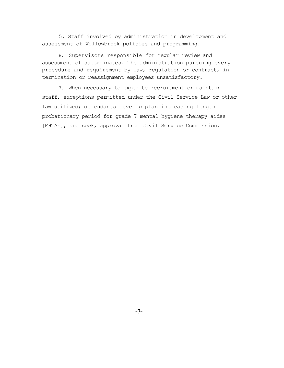5. Staff involved by administration in development and assessment of Willowbrook policies and programming.

6. Supervisors responsible for regular review and assessment of subordinates. The administration pursuing every procedure and requirement by law, regulation or contract, in termination or reassignment employees unsatisfactory.

7. When necessary to expedite recruitment or maintain staff, exceptions permitted under the Civil Service Law or other law utilized; defendants develop plan increasing length probationary period for grade 7 mental hygiene therapy aides [MHTAs], and seek, approval from Civil Service Commission.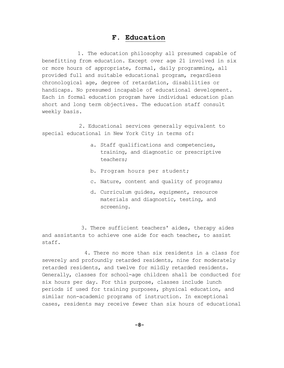#### **F. Education**

 1. The education philosophy all presumed capable of benefitting from education. Except over age 21 involved in six or more hours of appropriate, formal, daily programming, all provided full and suitable educational program, regardless chronological age, degree of retardation, disabilities or handicaps. No presumed incapable of educational development. Each in formal education program have individual education plan short and long term objectives. The education staff consult weekly basis.

 2. Educational services generally equivalent to special educational in New York City in terms of:

- a. Staff qualifications and competencies, training, and diagnostic or prescriptive teachers;
- b. Program hours per student;
- c. Nature, content and quality of programs;
- d. Curriculum guides, equipment, resource materials and diagnostic, testing, and screening.

 3. There sufficient teachers' aides, therapy aides and assistants to achieve one aide for each teacher, to assist staff.

 4. There no more than six residents in a class for severely and profoundly retarded residents, nine for moderately retarded residents, and twelve for mildly retarded residents. Generally, classes for school-age children shall be conducted for six hours per day. For this purpose, classes include lunch periods if used for training purposes, physical education, and similar non-academic programs of instruction. In exceptional cases, residents may receive fewer than six hours of educational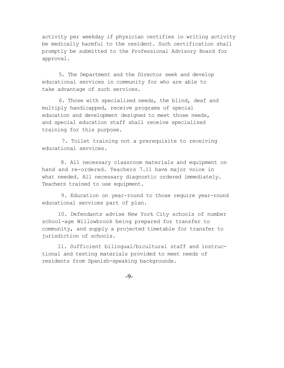activity per weekday if physician certifies in writing activity be medically harmful to the resident. Such certification shall promptly be submitted to the Professional Advisory Board for approval.

5. The Department and the Director seek and develop educational services in community for who are able to take advantage of such services.

6. Those with specialized needs, the blind, deaf and multiply handicapped, receive programs of special education and development designed to meet those needs, and special education staff shall receive specialized training for this purpose.

7. Toilet training not a prerequisite to receiving educational services.

 8. All necessary classroom materials and equipment on hand and re-ordered. Teachers 7.11 have major voice in what needed. All necessary diagnostic ordered immediately. Teachers trained to use equipment.

 9. Education on year-round to those require year-round educational services part of plan.

 10. Defendants advise New York City schools of number school-age Willowbrook being prepared for transfer to community, and supply a projected timetable for transfer to jurisdiction of schools.

 11. Sufficient bilingual/bicultural staff and instructional and testing materials provided to meet needs of residents from Spanish-speaking backgrounds.

-9-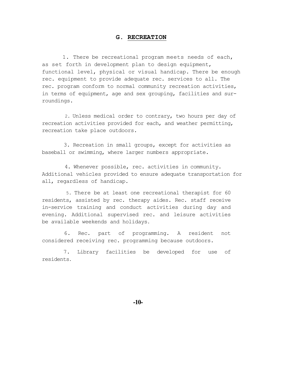#### **G. RECREATION**

1. There be recreational program meets needs of each, as set forth in development plan to design equipment, functional level, physical or visual handicap. There be enough rec. equipment to provide adequate rec. services to all. The rec. program conform to normal community recreation activities, in terms of equipment, age and sex grouping, facilities and surroundings.

 2. Unless medical order to contrary, two hours per day of recreation activities provided for each, and weather permitting, recreation take place outdoors.

 3. Recreation in small groups, except for activities as baseball or swimming, where larger numbers appropriate.

 4. Whenever possible, rec. activities in community. Additional vehicles provided to ensure adequate transportation for all, regardless of handicap.

5. There be at least one recreational therapist for 60 residents, assisted by rec. therapy aides. Rec. staff receive in-service training and conduct activities during day and evening. Additional supervised rec. and leisure activities be available weekends and holidays.

6. Rec. part of programming. A resident not considered receiving rec. programming because outdoors.

7. Library facilities be developed for use of residents.

 **-10-**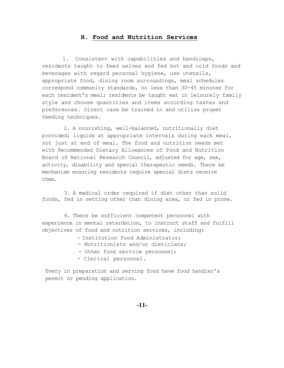#### **H. Food and Nutrition Services**

1. Consistent with capabilities and handicaps, residents taught to feed selves and fed hot and cold foods and beverages with regard personal hygiene, use utensils, appropriate food, dining room surroundings, meal schedules correspond community standards, no less than 30-45 minutes for each resident's meal; residents be taught eat in leisurely family style and choose quantities and items according tastes and preferences. Direct care be trained in and utilize proper feeding techniques.

 2. A nourishing, well-balanced, nutritionally diet provided; liquids at appropriate intervals during each meal, not just at end of meal. The food and nutrition needs met with Recommended Dietary Allowances of Food and Nutrition Board of National Research Council, adjusted for age, sex, activity, disability and special therapeutic needs. There be mechanism ensuring residents require special diets receive them.

 3. A medical order required if diet other than solid foods, fed in setting other than dining area, or fed in prone.

 4. There be sufficient competent personnel with experience in mental retardation, to instruct staff and fulfill objectives of food and nutrition services, including:

- Institution Food Administrator;
- Nutritionists and/or dieticians;
- Other food service personnel;
- Clerical personnel.

Every in preparation and serving food have food handler's permit or pending application.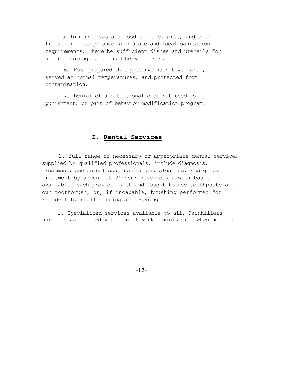5. Dining areas and food storage, pre., and distribution in compliance with state and local sanitation requirements. There be sufficient dishes and utensils for all be thoroughly cleaned between uses.

6. Food prepared that preserve nutritive value, served at normal temperatures, and protected from contamination.

7. Denial of a nutritional diet not used as punishment, or part of behavior modification program.

#### **I. Dental Services**

1. full range of necessary or appropriate dental services supplied by qualified professionals, include diagnosis, treatment, and annual examination and cleaning. Emergency treatment by a dentist 24-hour seven-day a week basis available. each provided with and taught to use toothpaste and own toothbrush, or, if incapable, brushing performed for resident by staff morning and evening.

 2. Specialized services available to all. Painkillers normally associated with dental work administered when needed.

**-12-**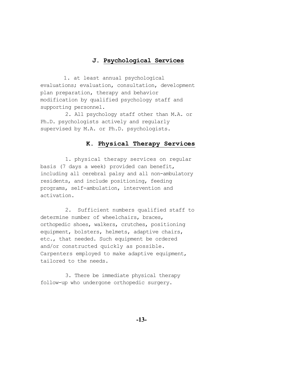#### **J. Psychological Services**

 1. at least annual psychological evaluations; evaluation, consultation, development plan preparation, therapy and behavior modification by qualified psychology staff and supporting personnel.

 2. All psychology staff other than M.A. or Ph.D. psychologists actively and regularly supervised by M.A. or Ph.D. psychologists.

#### **K. Physical Therapy Services**

 1. physical therapy services on regular basis (7 days a week) provided can benefit, including all cerebral palsy and all non-ambulatory residents, and include positioning, feeding programs, self-ambulation, intervention and activation.

 2. Sufficient numbers qualified staff to determine number of wheelchairs, braces, orthopedic shoes, walkers, crutches, positioning equipment, bolsters, helmets, adaptive chairs, etc., that needed. Such equipment be ordered and/or constructed quickly as possible. Carpenters employed to make adaptive equipment, tailored to the needs.

 3. There be immediate physical therapy follow-up who undergone orthopedic surgery.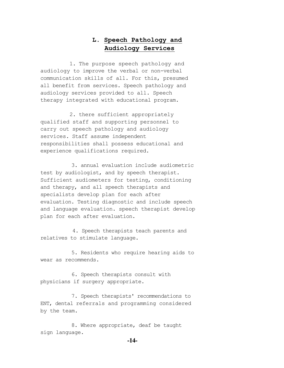### **L. Speech Pathology and Audiology Services**

 1. The purpose speech pathology and audiology to improve the verbal or non-verbal communication skills of all. For this, presumed all benefit from services. Speech pathology and audiology services provided to all. Speech therapy integrated with educational program.

 2. there sufficient appropriately qualified staff and supporting personnel to carry out speech pathology and audiology services. Staff assume independent responsibilities shall possess educational and experience qualifications required.

 3. annual evaluation include audiometric test by audiologist, and by speech therapist. Sufficient audiometers for testing, conditioning and therapy, and all speech therapists and specialists develop plan for each after evaluation. Testing diagnostic and include speech and language evaluation. speech therapist develop plan for each after evaluation.

 4. Speech therapists teach parents and relatives to stimulate language.

 5. Residents who require hearing aids to wear as recommends.

 6. Speech therapists consult with physicians if surgery appropriate.

 7. Speech therapists' recommendations to ENT, dental referrals and programming considered by the team.

 8. Where appropriate, deaf be taught sign language.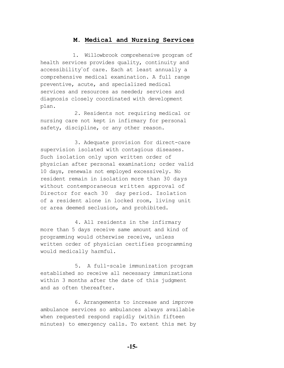#### **M. Medical and Nursing Services**

 1. Willowbrook comprehensive program of health services provides quality, continuity and accessibility of care. Each at least annually a comprehensive medical examination. A full range preventive, acute, and specialized medical services and resources as needed; services and diagnosis closely coordinated with development plan.

 2. Residents not requiring medical or nursing care not kept in infirmary for personal safety, discipline, or any other reason.

 3. Adequate provision for direct-care supervision isolated with contagious diseases. Such isolation only upon written order of physician after personal examination; order valid 10 days, renewals not employed excessively. No resident remain in isolation more than 30 days without contemporaneous written approval of Director for each 30 day period. Isolation of a resident alone in locked room, living unit or area deemed seclusion, and prohibited.

 4. All residents in the infirmary more than 5 days receive same amount and kind of programming would otherwise receive, unless written order of physician certifies programming would medically harmful.

 5. A full-scale immunization program established so receive all necessary immunizations within 3 months after the date of this judgment and as often thereafter.

 6. Arrangements to increase and improve ambulance services so ambulances always available when requested respond rapidly (within fifteen minutes) to emergency calls. To extent this met by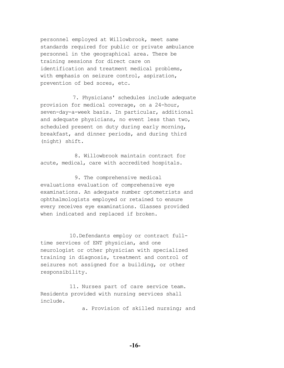personnel employed at Willowbrook, meet same standards required for public or private ambulance personnel in the geographical area. There be training sessions for direct care on identification and treatment medical problems, with emphasis on seizure control, aspiration, prevention of bed sores, etc.

7. Physicians' schedules include adequate provision for medical coverage, on a 24-hour, seven-day-a-week basis. In particular, additional and adequate physicians, no event less than two, scheduled present on duty during early morning, breakfast, and dinner periods, and during third (night) shift.

 8. Willowbrook maintain contract for acute, medical, care with accredited hospitals.

 9. The comprehensive medical evaluations evaluation of comprehensive eye examinations. An adequate number optometrists and ophthalmologists employed or retained to ensure every receives eye examinations. Glasses provided when indicated and replaced if broken.

10.Defendants employ or contract fulltime services of ENT physician, and one neurologist or other physician with specialized training in diagnosis, treatment and control of seizures not assigned for a building, or other responsibility.

11. Nurses part of care service team. Residents provided with nursing services shall include.

a. Provision of skilled nursing; and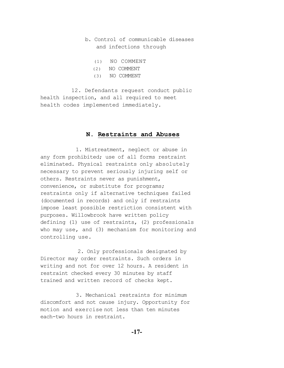- b. Control of communicable diseases and infections through
	- (1) NO COMMENT
	- (2) NO COMMENT
	- (3) NO COMMENT

 12. Defendants request conduct public health inspection, and all required to meet health codes implemented immediately.

#### **N. Restraints and Abuses**

 1. Mistreatment, neglect or abuse in any form prohibited; use of all forms restraint eliminated. Physical restraints only absolutely necessary to prevent seriously injuring self or others. Restraints never as punishment, convenience, or substitute for programs; restraints only if alternative techniques failed (documented in records) and only if restraints impose least possible restriction consistent with purposes. Willowbrook have written policy defining (1) use of restraints, (2) professionals who may use, and (3) mechanism for monitoring and controlling use*.*

 2. Only professionals designated by Director may order restraints. Such orders in writing and not for over 12 hours. A resident in restraint checked every 30 minutes by staff trained and written record of checks kept.

 3. Mechanical restraints for minimum discomfort and not cause injury. Opportunity for motion and exercise not less than ten minutes each-two hours in restraint.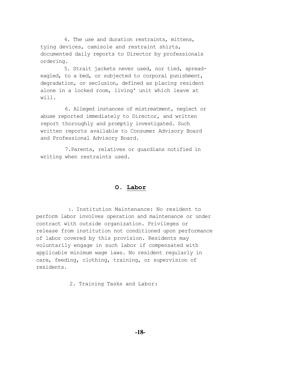4. The use and duration restraints, mittens, tying devices, camisole and restraint shirts, documented daily reports to Director by professionals ordering.

 5. Strait jackets never used, nor tied, spreadeagled, to a bed, or subjected to corporal punishment, degradation, or seclusion, defined as placing resident alone in a locked room, living' unit which leave at will.

 6. Alleged instances of mistreatment, neglect or abuse reported immediately to Director, and written report thoroughly and promptly investigated. Such written reports available to Consumer Advisory Board and Professional Advisory Board.

 7.Parents, relatives or guardians notified in writing when restraints used.

#### **O. Labor**

 1. Institution Maintenance: No resident to perform labor involves operation and maintenance or under contract with outside organization. Privileges or release from institution not conditioned upon performance of labor covered by this provision. Residents may voluntarily engage in such labor if compensated with applicable minimum wage laws. No resident regularly in care, feeding, clothing, training, or supervision of residents.

2. Training Tasks and Labor: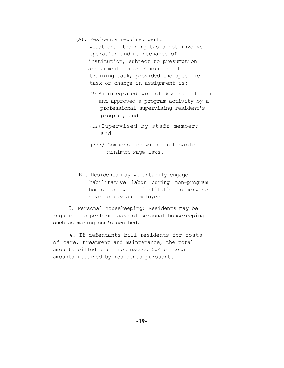- (A). Residents required perform vocational training tasks not involve operation and maintenance of institution, subject to presumption assignment longer 4 months not training task, provided the specific task or change in assignment is:
	- *(i)* An integrated part of development plan and approved a program activity by a professional supervising resident's program; and
	- *(ii)*Supervised by staff member; and
	- *(iii)* Compensated with applicable minimum wage laws.
- B). Residents may voluntarily engage habilitative labor during non-program hours for which institution otherwise have to pay an employee.

 3. Personal housekeeping: Residents may be required to perform tasks of personal housekeeping such as making one's own bed.

 4. If defendants bill residents for costs of care, treatment and maintenance, the total amounts billed shall not exceed 50% of total amounts received by residents pursuant.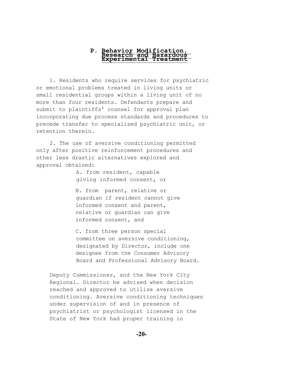# **P. Behavior Modification, Research and Hazardous Experimental Treatment**

1. Residents who require services for psychiatric or emotional problems treated in living units or small residential groups within a living unit of no more than four residents. Defendants prepare and submit to plaintiffs' counsel for approval plan incorporating due process standards and procedures to precede transfer to specialized psychiatric unit, or retention therein.

2. The use of aversive conditioning permitted only after positive reinforcement procedures and other less drastic alternatives explored and approval obtained:

> A. from resident, capable giving informed consent, or

 B. from parent, relative or guardian if resident cannot give informed consent and parent, relative or guardian can give informed consent, and

 C. from three person special committee on aversive conditioning, designated by Director, include one designee from the Consumer Advisory Board and Professional Advisory Board.

Deputy Commissioner, and the New York City Regional. Director be advised when decision reached and approved to utilize aversive conditioning. Aversive conditioning techniques under supervision of and in presence of psychiatrist or psychologist licensed in the State of New York had proper training in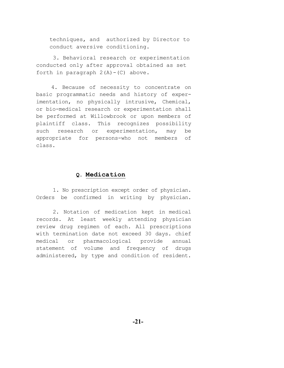techniques, and authorized by Director to conduct aversive conditioning.

3. Behavioral research or experimentation conducted only after approval obtained as set forth in paragraph  $2(A) - (C)$  above.

4. Because of necessity to concentrate on basic programmatic needs and history of experimentation, no physically intrusive, Chemical, or bio-medical research or experimentation shall be performed at Willowbrook or upon members of plaintiff class. This recognizes possibility such research or experimentation, may be appropriate for persons-who not members of class.

#### **Q. Medication**

1. No prescription except order of physician. Orders be confirmed in writing by physician.

2. Notation of medication kept in medical records. At least weekly attending physician review drug regimen of each. All prescriptions with termination date not exceed 30 days. chief medical or pharmacological provide annual statement of volume and frequency of drugs administered, by type and condition of resident.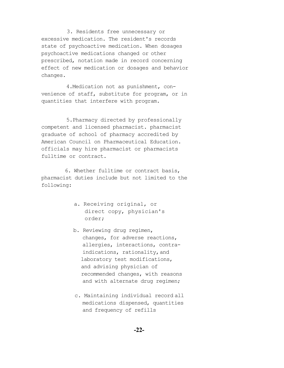3. Residents free unnecessary or excessive medication. The resident's records state of psychoactive medication. When dosages psychoactive medications changed or other prescribed, notation made in record concerning effect of new medication or dosages and behavior changes.

4.Medication not as punishment, convenience of staff, substitute for program, or in quantities that interfere with program.

5.Pharmacy directed by professionally competent and licensed pharmacist. pharmacist graduate of school of pharmacy accredited by American Council on Pharmaceutical Education. officials may hire pharmacist or pharmacists fulltime or contract.

 6. Whether fulltime or contract basis, pharmacist duties include but not limited to the following:

- a. Receiving original, or direct copy, physician's order;
- b. Reviewing drug regimen, changes, for adverse reactions, allergies, interactions, contra indications, rationality,and laboratory test modifications, and advising physician of recommended changes, with reasons and with alternate drug regimen;
- c. Maintaining individual record all medications dispensed, quantities and frequency of refills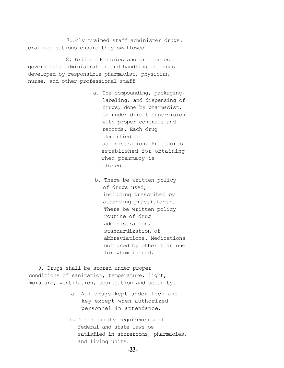7.Only trained staff administer drugs. oral medications ensure they swallowed.

 8. Written Policies and procedures govern safe administration and handling of drugs developed by responsible pharmacist, physician, nurse, and other professional staff

- a. The compounding, packaging, labeling, and dispensing of drugs, done by pharmacist, or under direct supervision with proper controls and records. Each drug identified to administration. Procedures established for obtaining when pharmacy is closed.
- b. There be written policy of drugs used, including prescribed by attending practitioner. There be written policy routine of drug administration, standardization of abbreviations. Medications not used by other than one for whom issued.

 9. Drugs shall be stored under proper conditions of sanitation, temperature, light, moisture, ventilation, segregation and security.

- a. All drugs kept under lock and key except when authorized personnel in attendance.
- b. The security requirements of federal and state laws be satisfied in storerooms, pharmacies, and living units.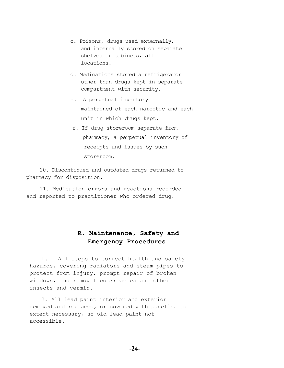- c. Poisons, drugs used externally, and internally stored on separate shelves or cabinets, all locations.
- d. Medications stored a refrigerator other than drugs kept in separate compartment with security.
- e. A perpetual inventory maintained of each narcotic and each unit in which drugs kept.
- f. If drug storeroom separate from pharmacy, a perpetual inventory of receipts and issues by such storeroom.

10. Discontinued and outdated drugs returned to pharmacy for disposition.

11. Medication errors and reactions recorded and reported to practitioner who ordered drug.

### **R. Maintenance, Safety and Emergency Procedures**

1. All steps to correct health and safety hazards, covering radiators and steam pipes to protect from injury, prompt repair of broken windows, and removal cockroaches and other insects and vermin.

2. All lead paint interior and exterior removed and replaced, or covered with paneling to extent necessary, so old lead paint not accessible.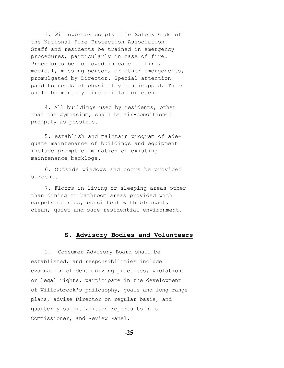3. Willowbrook comply Life Safety Code of the National Fire Protection Association. Staff and residents be trained in emergency procedures, particularly in case of fire. Procedures be followed in case of fire, medical, missing person, or other emergencies, promulgated by Director. Special attention paid to needs of physically handicapped. There shall be monthly fire drills for each.

4. All buildings used by residents, other than the gymnasium, shall be air-conditioned promptly as possible.

5. establish and maintain program of adequate maintenance of buildings and equipment include prompt elimination of existing maintenance backlogs.

 6. Outside windows and doors be provided screens.

7. Floors in living or sleeping areas other than dining or bathroom areas provided with carpets or rugs, consistent with pleasant, clean, quiet and safe residential environment.

#### **S. Advisory Bodies and Volunteers**

1. Consumer Advisory Board shall be established, and responsibilities include evaluation of dehumanizing practices, violations or legal rights. participate in the development of Willowbrook's philosophy, goals and long-range plans, advise Director on regular basis, and quarterly submit written reports to him, Commissioner, and Review Panel.

**-25**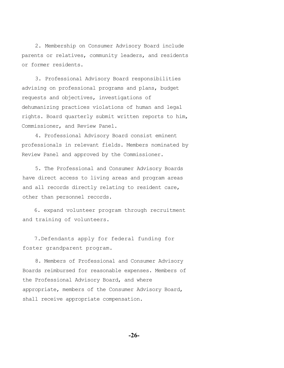2. Membership on Consumer Advisory Board include parents or relatives, community leaders, and residents or former residents.

3. Professional Advisory Board responsibilities advising on professional programs and plans, budget requests and objectives, investigations of dehumanizing practices violations of human and legal rights. Board quarterly submit written reports to him, Commissioner, and Review Panel.

4. Professional Advisory Board consist eminent professionals in relevant fields. Members nominated by Review Panel and approved by the Commissioner.

5. The Professional and Consumer Advisory Boards have direct access to living areas and program areas and all records directly relating to resident care, other than personnel records.

6. expand volunteer program through recruitment and training of volunteers.

 7.Defendants apply for federal funding for foster grandparent program.

8. Members of Professional and Consumer Advisory Boards reimbursed for reasonable expenses. Members of the Professional Advisory Board, and where appropriate, members of the Consumer Advisory Board, shall receive appropriate compensation.

**-26-**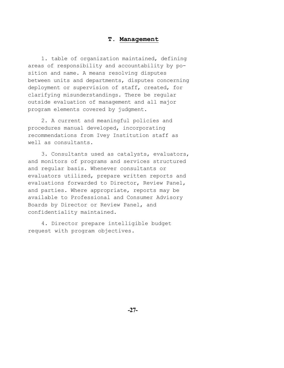#### **T. Management**

1. table of organization maintained, defining areas of responsibility and accountability by position and name. A means resolving disputes between units and departments, disputes concerning deployment or supervision of staff, created, for clarifying misunderstandings. There be regular outside evaluation of management and all major program elements covered by judgment.

2. A current and meaningful policies and procedures manual developed, incorporating recommendations from Ivey Institution staff as well as consultants.

3. Consultants used as catalysts, evaluators, and monitors of programs and services structured and regular basis. Whenever consultants or evaluators utilized, prepare written reports and evaluations forwarded to Director, Review Panel, and parties. Where appropriate, reports may be available to Professional and Consumer Advisory Boards by Director or Review Panel, and confidentiality maintained.

4. Director prepare intelligible budget request with program objectives.

**-27-**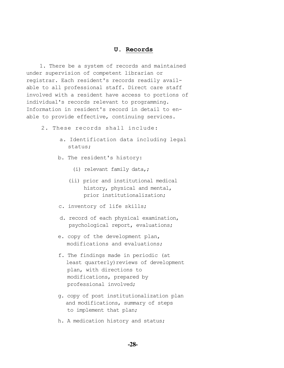#### **U. Records**

1. There be a system of records and maintained under supervision of competent librarian or registrar. Each resident's records readily available to all professional staff. Direct care staff involved with a resident have access to portions of individual's records relevant to programming. Information in resident's record in detail to enable to provide effective, continuing services.

- 2. These records shall include:
	- a. Identification data including legal status;
	- b. The resident's history:
		- (i) relevant family data,;
		- (ii) prior and institutional medical history, physical and mental, prior institutionalization;
	- c. inventory of life skills;
	- d. record of each physical examination, psychological report, evaluations;
	- e. copy of the development plan, modifications and evaluations;
	- f. The findings made in periodic (at least quarterly) reviews of development plan, with directions to modifications, prepared by professional involved;
	- g. copy of post institutionalization plan and modifications, summary of steps to implement that plan;
	- h. A medication history and status;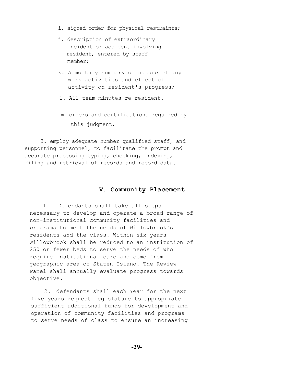- i. signed order for physical restraints;
- j. description of extraordinary incident or accident involving resident, entered by staff member;
- k. A monthly summary of nature of any work activities and effect of activity on resident's progress;
- l. All team minutes re resident.
- m. orders and certifications required by this judgment.

 3. employ adequate number qualified staff, and supporting personnel, to facilitate the prompt and accurate processing typing, checking, indexing, filing and retrieval of records and record data.

#### **V. Community Placement**

1. Defendants shall take all steps necessary to develop and operate a broad range of non-institutional community facilities and programs to meet the needs of Willowbrook's residents and the class. Within six years Willowbrook shall be reduced to an institution of 250 or fewer beds to serve the needs of who require institutional care and come from geographic area of Staten Island. The Review Panel shall annually evaluate progress towards objective.

2. defendants shall each Year for the next five years request legislature to appropriate sufficient additional funds for development and operation of community facilities and programs to serve needs of class to ensure an increasing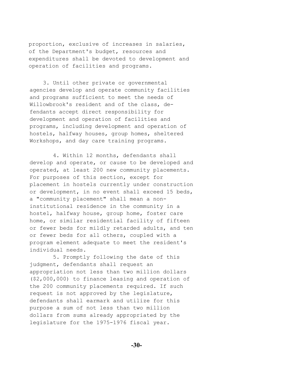proportion, exclusive of increases in salaries, of the Department's budget, resources and expenditures shall be devoted to development and operation of facilities and programs.

3. Until other private or governmental agencies develop and operate community facilities and programs sufficient to meet the needs of Willowbrook's resident and of the class, defendants accept direct responsibility for development and operation of facilities and programs, including development and operation of hostels, halfway houses, group homes, sheltered Workshops, and day care training programs.

4. Within 12 months, defendants shall develop and operate, or cause to be developed and operated, at least 200 new community placements. For purposes of this section, except for placement in hostels currently under construction or development, in no event shall exceed 15 beds, a "community placement" shall mean a noninstitutional residence in the community in a hostel, halfway house, group home, foster care home, or similar residential facility of fifteen or fewer beds for mildly retarded adults, and ten or fewer beds for all others, coupled with a program element adequate to meet the resident's individual needs.

5. Promptly following the date of this judgment, defendants shall request an appropriation not less than two million dollars (\$2,000,000) to finance leasing and operation of the 200 community placements required. If such request is not approved by the legislature, defendants shall earmark and utilize for this purpose a sum of not less than two million dollars from sums already appropriated by the legislature for the 1975-1976 fiscal year.

**-30-**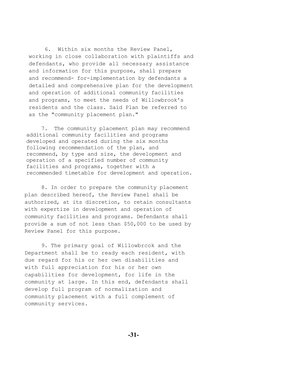6. Within six months the Review Panel, working in close collaboration with plaintiffs and defendants, who provide all necessary assistance and information for this purpose, shall prepare and recommend- for-implementation by defendants a detailed and comprehensive plan for the development and operation of additional community facilities and programs, to meet the needs of Willowbrook's residents and the class. Said Plan be referred to as the "community placement plan."

7. The community placement plan may recommend additional community facilities and programs developed and operated during the six months following recommendation of the plan, and recommend, by type and size, the development and operation of a specified number of community facilities and programs, together with a recommended timetable for development and operation.

8. In order to prepare the community placement plan described hereof, the Review Panel shall be authorized, at its discretion, to retain consultants with expertize in development and operation of community facilities and programs. Defendants shall provide a sum of not less than \$50,000 to be used by Review Panel for this purpose.

9. The primary goal of Willowbrcok and the Department shall be to ready each resident, with due regard for his or her own disabilities and with full appreciation for his or her own capabilities for development, for life in the community at large. In this end, defendants shall develop full program of normalization and community placement with a full complement of community services.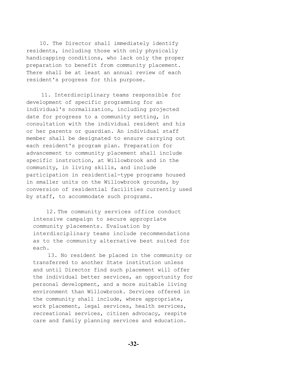10. The Director shall immediately identify residents, including those with only physically handicapping conditions, who lack only the proper preparation to benefit from community placement. There shall be at least an annual review of each resident's progress for this purpose.

11. Interdisciplinary teams responsible for development of specific programming for an individual's normalization, including projected date for progress to a community setting, in consultation with the individual resident and his or her parents or guardian. An individual staff member shall be designated to ensure carrying out each resident's program plan. Preparation for advancement to community placement shall include specific instruction, at Willowbrook and in the community, in living skills, and include participation in residential-type programs housed in smaller units on the Willowbrook grounds, by conversion of residential facilities currently used by staff, to accommodate such programs.

 12. The community services office conduct intensive campaign to secure appropriate community placements. Evaluation by interdisciplinary teams include recommendations as to the community alternative best suited for each.

 13. No resident be placed in the community or transferred to another State institution unless and until Director find such placement will offer the individual better services, an opportunity for personal development, and a more suitable living environment than Willowbrook. Services offered in the community shall include, where appropriate, work placement, legal services, health services, recreational services, citizen advocacy, respite care and family planning services and education.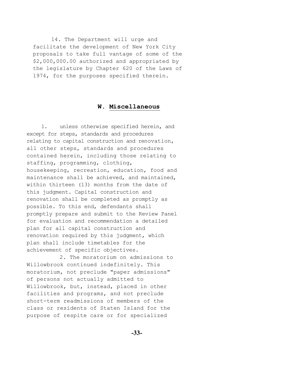14. The Department will urge and facilitate the development of New York City proposals to take full vantage of some of the \$2,000,000.00 authorized and appropriated by the legislature by Chapter 620 of the Laws of 1974, for the purposes specified therein.

#### **W. Miscellaneous**

1. unless otherwise specified herein, and except for steps, standards and procedures relating to capital construction and renovation, all other steps, standards and procedures contained herein, including those relating to staffing, programming, clothing, housekeeping, recreation, education, food and maintenance shall be achieved, and maintained, within thirteen (13) months from the date of this judgment. Capital construction and renovation shall be completed as promptly as possible. To this end, defendants shall promptly prepare and submit to the Review Panel for evaluation and recommendation a detailed plan for all capital construction and renovation required by this judgment, which plan shall include timetables for the achievement of specific objectives.

2. The moratorium on admissions to Willowbrook continued indefinitely. This moratorium, not preclude "paper admissions" of persons not actually admitted to Willowbrook, but, instead, placed in other facilities and programs, and not preclude short-term readmissions of members of the class or residents of Staten Island for the purpose of respite care or for specialized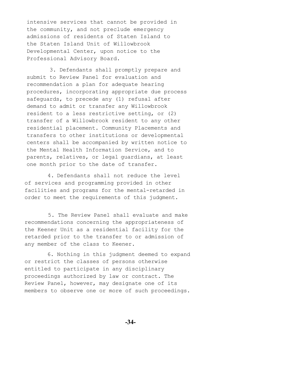intensive services that cannot be provided in the community, and not preclude emergency admissions of residents of Staten Island to the Staten Island Unit of Willowbrook Developmental Center, upon notice to the Professional Advisory Board.

3. Defendants shall promptly prepare and submit to Review Panel for evaluation and recommendation a plan for adequate hearing procedures, incorporating appropriate due process safeguards, to precede any (1) refusal after demand to admit or transfer any Willowbrook resident to a less restrictive setting, or (2) transfer of a Willowbrook resident to any other residential placement. Community Placements and transfers to other institutions or developmental centers shall be accompanied by written notice to the Mental Health Information Service, and to parents, relatives, or legal guardians, at least one month prior to the date of transfer.

4. Defendants shall not reduce the level of services and programming provided in other facilities and programs for the mental-retarded in order to meet the requirements of this judgment.

 5. The Review Panel shall evaluate and make recommendations concerning the appropriateness of the Keener Unit as a residential facility for the retarded prior to the transfer to or admission of any member of the class to Keener.

 6. Nothing in this judgment deemed to expand or restrict the classes of persons otherwise entitled to participate in any disciplinary proceedings authorized by law or contract. The Review Panel, however, may designate one of its members to observe one or more of such proceedings.

**-34-**